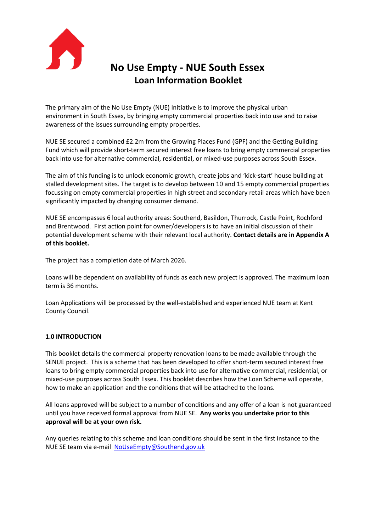

# **No Use Empty - NUE South Essex Loan Information Booklet**

The primary aim of the No Use Empty (NUE) Initiative is to improve the physical urban environment in South Essex, by bringing empty commercial properties back into use and to raise awareness of the issues surrounding empty properties.

NUE SE secured a combined £2.2m from the Growing Places Fund (GPF) and the Getting Building Fund which will provide short-term secured interest free loans to bring empty commercial properties back into use for alternative commercial, residential, or mixed-use purposes across South Essex.

The aim of this funding is to unlock economic growth, create jobs and 'kick-start' house building at stalled development sites. The target is to develop between 10 and 15 empty commercial properties focussing on empty commercial properties in high street and secondary retail areas which have been significantly impacted by changing consumer demand.

NUE SE encompasses 6 local authority areas: Southend, Basildon, Thurrock, Castle Point, Rochford and Brentwood. First action point for owner/developers is to have an initial discussion of their potential development scheme with their relevant local authority. **Contact details are in Appendix A of this booklet.**

The project has a completion date of March 2026.

Loans will be dependent on availability of funds as each new project is approved. The maximum loan term is 36 months.

Loan Applications will be processed by the well-established and experienced NUE team at Kent County Council.

# **1.0 INTRODUCTION**

This booklet details the commercial property renovation loans to be made available through the SENUE project. This is a scheme that has been developed to offer short-term secured interest free loans to bring empty commercial properties back into use for alternative commercial, residential, or mixed-use purposes across South Essex. This booklet describes how the Loan Scheme will operate, how to make an application and the conditions that will be attached to the loans.

All loans approved will be subject to a number of conditions and any offer of a loan is not guaranteed until you have received formal approval from NUE SE. **Any works you undertake prior to this approval will be at your own risk.**

Any queries relating to this scheme and loan conditions should be sent in the first instance to the NUE SE team via e-mail [NoUseEmpty@Southend.gov.uk](mailto:NoUseEmpty@Southend.gov.uk)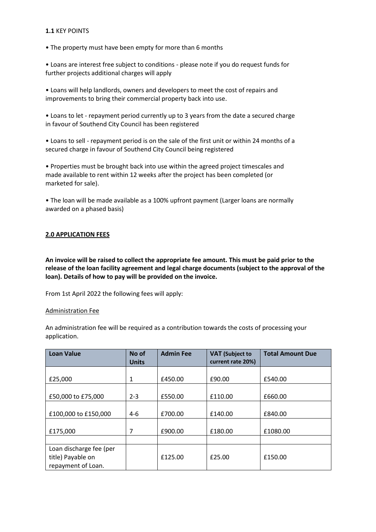## **1.1** KEY POINTS

• The property must have been empty for more than 6 months

• Loans are interest free subject to conditions - please note if you do request funds for further projects additional charges will apply

• Loans will help landlords, owners and developers to meet the cost of repairs and improvements to bring their commercial property back into use.

• Loans to let - repayment period currently up to 3 years from the date a secured charge in favour of Southend City Council has been registered

• Loans to sell - repayment period is on the sale of the first unit or within 24 months of a secured charge in favour of Southend City Council being registered

• Properties must be brought back into use within the agreed project timescales and made available to rent within 12 weeks after the project has been completed (or marketed for sale).

• The loan will be made available as a 100% upfront payment (Larger loans are normally awarded on a phased basis)

## **2.0 APPLICATION FEES**

**An invoice will be raised to collect the appropriate fee amount. This must be paid prior to the release of the loan facility agreement and legal charge documents (subject to the approval of the loan). Details of how to pay will be provided on the invoice.** 

From 1st April 2022 the following fees will apply:

## Administration Fee

An administration fee will be required as a contribution towards the costs of processing your application.

| <b>Loan Value</b>                                                  | No of<br><b>Units</b> | <b>Admin Fee</b> | <b>VAT</b> (Subject to<br>current rate 20%) | <b>Total Amount Due</b> |
|--------------------------------------------------------------------|-----------------------|------------------|---------------------------------------------|-------------------------|
| £25,000                                                            | 1                     | £450.00          | £90.00                                      | £540.00                 |
| £50,000 to £75,000                                                 | $2 - 3$               | £550.00          | £110.00                                     | £660.00                 |
| £100,000 to £150,000                                               | $4-6$                 | £700.00          | £140.00                                     | £840.00                 |
| £175,000                                                           | 7                     | £900.00          | £180.00                                     | £1080.00                |
|                                                                    |                       |                  |                                             |                         |
| Loan discharge fee (per<br>title) Payable on<br>repayment of Loan. |                       | £125.00          | £25.00                                      | £150.00                 |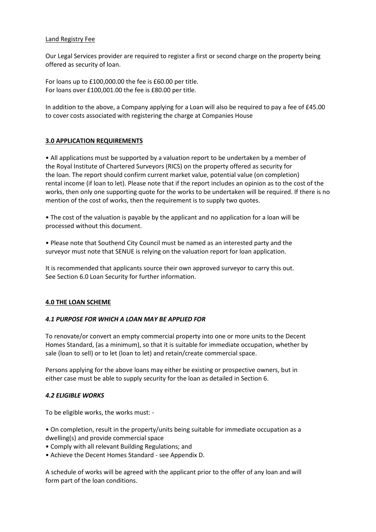# Land Registry Fee

Our Legal Services provider are required to register a first or second charge on the property being offered as security of loan.

For loans up to £100,000.00 the fee is £60.00 per title. For loans over £100,001.00 the fee is £80.00 per title.

In addition to the above, a Company applying for a Loan will also be required to pay a fee of £45.00 to cover costs associated with registering the charge at Companies House

# **3.0 APPLICATION REQUIREMENTS**

• All applications must be supported by a valuation report to be undertaken by a member of the Royal Institute of Chartered Surveyors (RICS) on the property offered as security for the loan. The report should confirm current market value, potential value (on completion) rental income (if loan to let). Please note that if the report includes an opinion as to the cost of the works, then only one supporting quote for the works to be undertaken will be required. If there is no mention of the cost of works, then the requirement is to supply two quotes.

• The cost of the valuation is payable by the applicant and no application for a loan will be processed without this document.

• Please note that Southend City Council must be named as an interested party and the surveyor must note that SENUE is relying on the valuation report for loan application.

It is recommended that applicants source their own approved surveyor to carry this out. See Section 6.0 Loan Security for further information.

## **4.0 THE LOAN SCHEME**

## *4.1 PURPOSE FOR WHICH A LOAN MAY BE APPLIED FOR*

To renovate/or convert an empty commercial property into one or more units to the Decent Homes Standard, (as a minimum), so that it is suitable for immediate occupation, whether by sale (loan to sell) or to let (loan to let) and retain/create commercial space.

Persons applying for the above loans may either be existing or prospective owners, but in either case must be able to supply security for the loan as detailed in Section 6.

## *4.2 ELIGIBLE WORKS*

To be eligible works, the works must: -

- On completion, result in the property/units being suitable for immediate occupation as a dwelling(s) and provide commercial space
- Comply with all relevant Building Regulations; and
- Achieve the Decent Homes Standard see Appendix D.

A schedule of works will be agreed with the applicant prior to the offer of any loan and will form part of the loan conditions.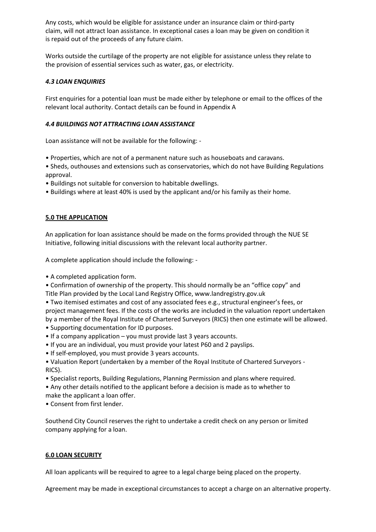Any costs, which would be eligible for assistance under an insurance claim or third-party claim, will not attract loan assistance. In exceptional cases a loan may be given on condition it is repaid out of the proceeds of any future claim.

Works outside the curtilage of the property are not eligible for assistance unless they relate to the provision of essential services such as water, gas, or electricity.

# *4.3 LOAN ENQUIRIES*

First enquiries for a potential loan must be made either by telephone or email to the offices of the relevant local authority. Contact details can be found in Appendix A

# *4.4 BUILDINGS NOT ATTRACTING LOAN ASSISTANCE*

Loan assistance will not be available for the following: -

- Properties, which are not of a permanent nature such as houseboats and caravans.
- Sheds, outhouses and extensions such as conservatories, which do not have Building Regulations approval.
- Buildings not suitable for conversion to habitable dwellings.
- Buildings where at least 40% is used by the applicant and/or his family as their home.

## **5.0 THE APPLICATION**

An application for loan assistance should be made on the forms provided through the NUE SE Initiative, following initial discussions with the relevant local authority partner.

A complete application should include the following: -

• A completed application form.

• Confirmation of ownership of the property. This should normally be an "office copy" and Title Plan provided by the Local Land Registry Office, www.landregistry.gov.uk

• Two itemised estimates and cost of any associated fees e.g., structural engineer's fees, or project management fees. If the costs of the works are included in the valuation report undertaken by a member of the Royal Institute of Chartered Surveyors (RICS) then one estimate will be allowed.

- Supporting documentation for ID purposes.
- If a company application you must provide last 3 years accounts.
- If you are an individual, you must provide your latest P60 and 2 payslips.
- If self-employed, you must provide 3 years accounts.
- Valuation Report (undertaken by a member of the Royal Institute of Chartered Surveyors RICS).
- Specialist reports, Building Regulations, Planning Permission and plans where required.
- Any other details notified to the applicant before a decision is made as to whether to make the applicant a loan offer.
- Consent from first lender.

Southend City Council reserves the right to undertake a credit check on any person or limited company applying for a loan.

## **6.0 LOAN SECURITY**

All loan applicants will be required to agree to a legal charge being placed on the property.

Agreement may be made in exceptional circumstances to accept a charge on an alternative property.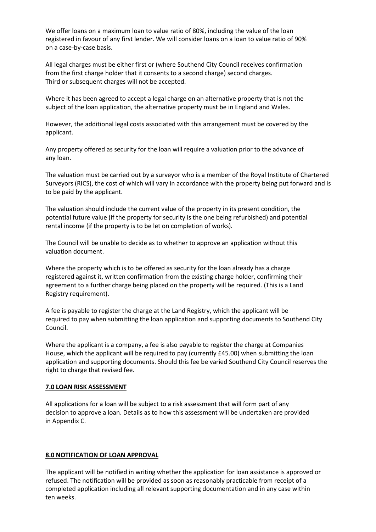We offer loans on a maximum loan to value ratio of 80%, including the value of the loan registered in favour of any first lender. We will consider loans on a loan to value ratio of 90% on a case-by-case basis[.](file:///C:/Users/wilson888/Desktop/NUE-Commercial-Loan-Booklet.pdf%23page=1)

All legal charges must be either first or (where Southend City Council receives confirmation from the first charge holder that it consents to a second charge) second charges. Third or subsequent charges will not be accepted.

Where it has been agreed to accept a legal charge on an alternative property that is not the subject of the loan application, the alternative property must be in England and Wales.

However, the additional legal costs associated with this arrangement must be covered by the applicant.

Any property offered as security for the loan will require a valuation prior to the advance of any loan.

The valuation must be carried out by a surveyor who is a member of the Royal Institute of Chartered Surveyors (RICS), the cost of which will vary in accordance with the property being put forward and is to be paid by the applicant.

The valuation should include the current value of the property in its present condition, the potential future value (if the property for security is the one being refurbished) and potential rental income (if the property is to be let on completion of works).

The Council will be unable to decide as to whether to approve an application without this valuation document.

Where the property which is to be offered as security for the loan already has a charge registered against it, written confirmation from the existing charge holder, confirming their agreement to a further charge being placed on the property will be required. (This is a Land Registry requirement).

A fee is payable to register the charge at the Land Registry, which the applicant will be required to pay when submitting the loan application and supporting documents to Southend City Council.

Where the applicant is a company, a fee is also payable to register the charge at Companies House, which the applicant will be required to pay (currently £45.00) when submitting the loan application and supporting documents. Should this fee be varied Southend City Council reserves the right to charge that revised fee.

## **7.0 LOAN RISK ASSESSMENT**

All applications for a loan will be subject to a risk assessment that will form part of any decision to approve a loan. Details as to how this assessment will be undertaken are provided in Appendix C.

## **8.0 NOTIFICATION OF LOAN APPROVAL**

The applicant will be notified in writing whether the application for loan assistance is approved or refused. The notification will be provided as soon as reasonably practicable from receipt of a completed application including all relevant supporting documentation and in any case within ten weeks.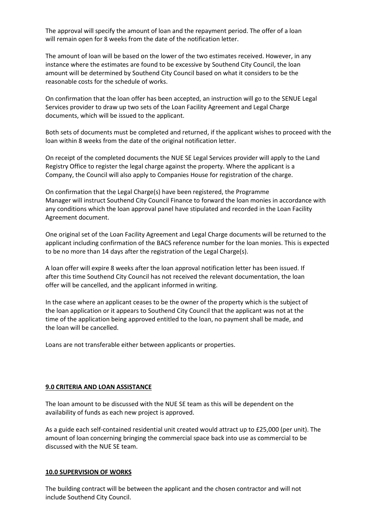The approval will specify the amount of loan and the repayment period. The offer of a loan will remain open for 8 weeks from the date of the notification letter.

The amount of loan will be based on the lower of the two estimates received. However, in any instance where the estimates are found to be excessive by Southend City Council, the loan amount will be determined by Southend City Council based on what it considers to be the reasonable costs for the schedule of works.

On confirmation that the loan offer has been accepted, an instruction will go to the SENUE Legal Services provider to draw up two sets of the Loan Facility Agreement and Legal Charge documents, which will be issued to the applicant.

Both sets of documents must be completed and returned, if the applicant wishes to proceed with the loan within 8 weeks from the date of the original notification letter.

On receipt of the completed documents the NUE SE Legal Services provider will apply to the Land Registry Office to register the legal charge against the property. Where the applicant is a Company, the Council will also apply to Companies House for registration of the charge.

On confirmation that the Legal Charge(s) have been registered, the Programme Manager will instruct Southend City Council Finance to forward the loan monies in accordance with any conditions which the loan approval panel have stipulated and recorded in the Loan Facility Agreement document.

One original set of the Loan Facility Agreement and Legal Charge documents will be returned to the applicant including confirmation of the BACS reference number for the loan monies. This is expected to be no more than 14 days after the registration of the Legal Charge(s).

A loan offer will expire 8 weeks after the loan approval notification letter has been issued. If after this time Southend City Council has not received the relevant documentation, the loan offer will be cancelled, and the applicant informed in writing.

In the case where an applicant ceases to be the owner of the property which is the subject of the loan application or it appears to Southend City Council that the applicant was not at the time of the application being approved entitled to the loan, no payment shall be made, and the loan will be cancelled.

Loans are not transferable either between applicants or properties.

#### **9.0 CRITERIA AND LOAN ASSISTANCE**

The loan amount to be discussed with the NUE SE team as this will be dependent on the availability of funds as each new project is approved.

As a guide each self-contained residential unit created would attract up to £25,000 (per unit). The amount of loan concerning bringing the commercial space back into use as commercial to be discussed with the NUE SE team.

#### **10.0 SUPERVISION OF WORKS**

The building contract will be between the applicant and the chosen contractor and will not include Southend City Council.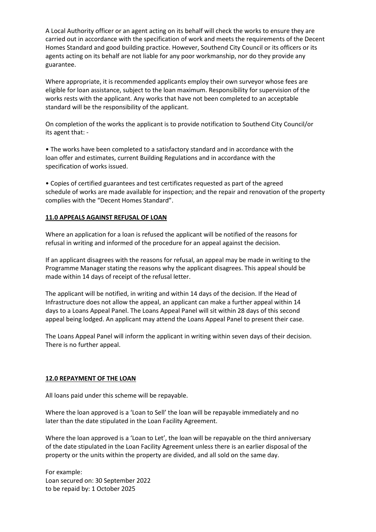A Local Authority officer or an agent acting on its behalf will check the works to ensure they are carried out in accordance with the specification of work and meets the requirements of the Decent Homes Standard and good building practice. However, Southend City Council or its officers or its agents acting on its behalf are not liable for any poor workmanship, nor do they provide any guarantee.

Where appropriate, it is recommended applicants employ their own surveyor whose fees are eligible for loan assistance, subject to the loan maximum. Responsibility for supervision of the works rests with the applicant. Any works that have not been completed to an acceptable standard will be the responsibility of the applicant.

On completion of the works the applicant is to provide notification to Southend City Council/or its agent that: -

• The works have been completed to a satisfactory standard and in accordance with the loan offer and estimates, current Building Regulations and in accordance with the specification of works issued.

• Copies of certified guarantees and test certificates requested as part of the agreed schedule of works are made available for inspection; and the repair and renovation of the property complies with the "Decent Homes Standard".

## **11.0 APPEALS AGAINST REFUSAL OF LOAN**

Where an application for a loan is refused the applicant will be notified of the reasons for refusal in writing and informed of the procedure for an appeal against the decision.

If an applicant disagrees with the reasons for refusal, an appeal may be made in writing to the Programme Manager stating the reasons why the applicant disagrees. This appeal should be made within 14 days of receipt of the refusal letter.

The applicant will be notified, in writing and within 14 days of the decision. If the Head of Infrastructure does not allow the appeal, an applicant can make a further appeal within 14 days to a Loans Appeal Panel. The Loans Appeal Panel will sit within 28 days of this second appeal being lodged. An applicant may attend the Loans Appeal Panel to present their case.

The Loans Appeal Panel will inform the applicant in writing within seven days of their decision. There is no further appeal.

#### **12.0 REPAYMENT OF THE LOAN**

All loans paid under this scheme will be repayable.

Where the loan approved is a 'Loan to Sell' the loan will be repayable immediately and no later than the date stipulated in the Loan Facility Agreement.

Where the loan approved is a 'Loan to Let', the loan will be repayable on the third anniversary of the date stipulated in the Loan Facility Agreement unless there is an earlier disposal of the property or the units within the property are divided, and all sold on the same day.

For example: Loan secured on: 30 September 2022 to be repaid by: 1 October 2025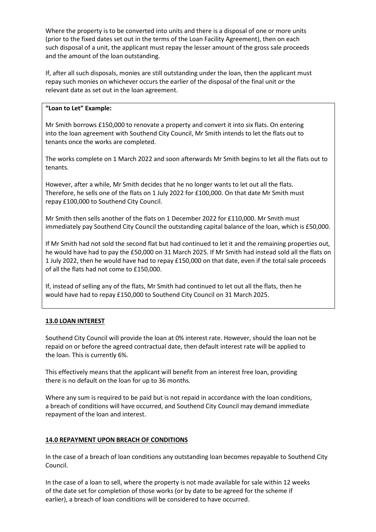Where the property is to be converted into units and there is a disposal of one or more units (prior to the fixed dates set out in the terms of the Loan Facility Agreement), then on each such disposal of a unit, the applicant must repay the lesser amount of the gross sale proceeds and the amount of the loan outstanding.

If, after all such disposals, monies are still outstanding under the loan, then the applicant must repay such monies on whichever occurs the earlier of the disposal of the final unit or the relevant date as set out in the loan agreement.

# **"Loan to Let" Example:**

Mr Smith borrows £150,000 to renovate a property and convert it into six flats. On entering into the loan agreement with Southend City Council, Mr Smith intends to let the flats out to tenants once the works are completed.

The works complete on 1 March 2022 and soon afterwards Mr Smith begins to let all the flats out to tenants.

However, after a while, Mr Smith decides that he no longer wants to let out all the flats. Therefore, he sells one of the flats on 1 July 2022 for £100,000. On that date Mr Smith must repay £100,000 to Southend City Council.

Mr Smith then sells another of the flats on 1 December 2022 for £110,000. Mr Smith must immediately pay Southend City Council the outstanding capital balance of the loan, which is £50,000.

If Mr Smith had not sold the second flat but had continued to let it and the remaining properties out, he would have had to pay the £50,000 on 31 March 2025. If Mr Smith had instead sold all the flats on 1 July 2022, then he would have had to repay £150,000 on that date, even if the total sale proceeds of all the flats had not come to £150,000.

If, instead of selling any of the flats, Mr Smith had continued to let out all the flats, then he would have had to repay £150,000 to Southend City Council on 31 March 2025.

## **13.0 LOAN INTEREST**

Southend City Council will provide the loan at 0% interest rate. However, should the loan not be repaid on or before the agreed contractual date, then default interest rate will be applied to the loan. This is currently 6%.

This effectively means that the applicant will benefit from an interest free loan, providing there is no default on the loan for up to 36 months.

Where any sum is required to be paid but is not repaid in accordance with the loan conditions, a breach of conditions will have occurred, and Southend City Council may demand immediate repayment of the loan and interest.

## **14.0 REPAYMENT UPON BREACH OF CONDITIONS**

In the case of a breach of loan conditions any outstanding loan becomes repayable to Southend City Council.

In the case of a loan to sell, where the property is not made available for sale within 12 weeks of the date set for completion of those works (or by date to be agreed for the scheme if earlier), a breach of loan conditions will be considered to have occurred.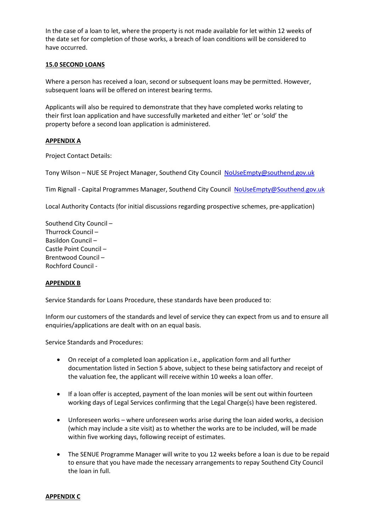In the case of a loan to let, where the property is not made available for let within 12 weeks of the date set for completion of those works, a breach of loan conditions will be considered to have occurred.

# **15.0 SECOND LOANS**

Where a person has received a loan, second or subsequent loans may be permitted. However, subsequent loans will be offered on interest bearing terms.

Applicants will also be required to demonstrate that they have completed works relating to their first loan application and have successfully marketed and either 'let' or 'sold' the property before a second loan application is administered.

## **APPENDIX A**

Project Contact Details:

Tony Wilson – NUE SE Project Manager, Southend City Council [NoUseEmpty@southend.gov.uk](mailto:NoUseEmpty@southend.gov.uk)

Tim Rignall - Capital Programmes Manager, Southend City Council [NoUseEmpty@Southend.gov.uk](mailto:NoUseEmpty@Southend.gov.uk)

Local Authority Contacts (for initial discussions regarding prospective schemes, pre-application)

Southend City Council – Thurrock Council – Basildon Council – Castle Point Council – Brentwood Council – Rochford Council -

## **APPENDIX B**

Service Standards for Loans Procedure, these standards have been produced to:

Inform our customers of the standards and level of service they can expect from us and to ensure all enquiries/applications are dealt with on an equal basis.

Service Standards and Procedures:

- On receipt of a completed loan application i.e., application form and all further documentation listed in Section 5 above, subject to these being satisfactory and receipt of the valuation fee, the applicant will receive within 10 weeks a loan offer.
- If a loan offer is accepted, payment of the loan monies will be sent out within fourteen working days of Legal Services confirming that the Legal Charge(s) have been registered.
- Unforeseen works where unforeseen works arise during the loan aided works, a decision (which may include a site visit) as to whether the works are to be included, will be made within five working days, following receipt of estimates.
- The SENUE Programme Manager will write to you 12 weeks before a loan is due to be repaid to ensure that you have made the necessary arrangements to repay Southend City Council the loan in full.

#### **APPENDIX C**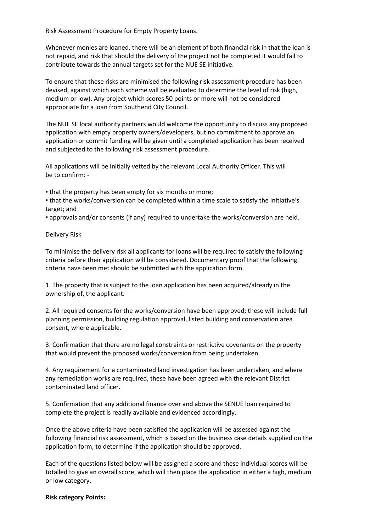Risk Assessment Procedure for Empty Property Loans.

Whenever monies are loaned, there will be an element of both financial risk in that the loan is not repaid, and risk that should the delivery of the project not be completed it would fail to contribute towards the annual targets set for the NUE SE initiative.

To ensure that these risks are minimised the following risk assessment procedure has been devised, against which each scheme will be evaluated to determine the level of risk (high, medium or low). Any project which scores 50 points or more will not be considered appropriate for a loan from Southend City Council.

The NUE SE local authority partners would welcome the opportunity to discuss any proposed application with empty property owners/developers, but no commitment to approve an application or commit funding will be given until a completed application has been received and subjected to the following risk assessment procedure.

All applications will be initially vetted by the relevant Local Authority Officer. This will be to confirm: -

. that the property has been empty for six months or more;

▪ that the works/conversion can be completed within a time scale to satisfy the Initiative's target; and

▪ approvals and/or consents (if any) required to undertake the works/conversion are held.

Delivery Risk

To minimise the delivery risk all applicants for loans will be required to satisfy the following criteria before their application will be considered. Documentary proof that the following criteria have been met should be submitted with the application form.

1. The property that is subject to the loan application has been acquired/already in the ownership of, the applicant.

2. All required consents for the works/conversion have been approved; these will include full planning permission, building regulation approval, listed building and conservation area consent, where applicable.

3. Confirmation that there are no legal constraints or restrictive covenants on the property that would prevent the proposed works/conversion from being undertaken.

4. Any requirement for a contaminated land investigation has been undertaken, and where any remediation works are required, these have been agreed with the relevant District contaminated land officer.

5. Confirmation that any additional finance over and above the SENUE loan required to complete the project is readily available and evidenced accordingly.

Once the above criteria have been satisfied the application will be assessed against the following financial risk assessment, which is based on the business case details supplied on the application form, to determine if the application should be approved.

Each of the questions listed below will be assigned a score and these individual scores will be totalled to give an overall score, which will then place the application in either a high, medium or low category.

#### **Risk category Points:**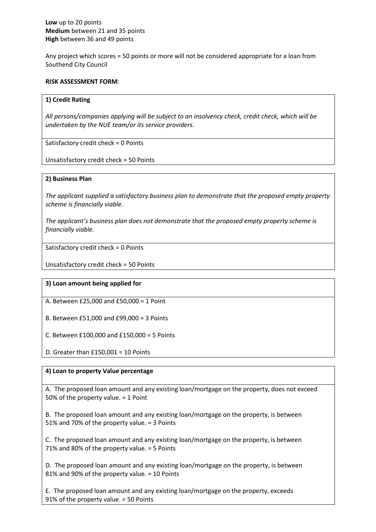Any project which scores = 50 points or more will not be considered appropriate for a loan from Southend City Council

#### **RISK ASSESSMENT FORM**:

#### **1) Credit Rating**

*All persons/companies applying will be subject to an insolvency check, credit check, which will be undertaken by the NUE team/or its service providers.*

Satisfactory credit check = 0 Points

Unsatisfactory credit check = 50 Points

#### **2) Business Plan**

*The applicant supplied a satisfactory business plan to demonstrate that the proposed empty property scheme is financially viable.*

*The applicant's business plan does not demonstrate that the proposed empty property scheme is financially viable.*

Satisfactory credit check = 0 Points

Unsatisfactory credit check = 50 Points

## **3) Loan amount being applied for**

A. Between £25,000 and £50,000 = 1 Point

B. Between £51,000 and £99,000 = 3 Points

C. Between £100,000 and £150,000 = 5 Points

D. Greater than  $£150,001 = 10$  Points

## **4) Loan to property Value percentage**

A. The proposed loan amount and any existing loan/mortgage on the property, does not exceed 50% of the property value. = 1 Point

B. The proposed loan amount and any existing loan/mortgage on the property, is between 51% and 70% of the property value. = 3 Points

C. The proposed loan amount and any existing loan/mortgage on the property, is between 71% and 80% of the property value. = 5 Points

D. The proposed loan amount and any existing loan/mortgage on the property, is between 81% and 90% of the property value. = 10 Points

E. The proposed loan amount and any existing loan/mortgage on the property, exceeds 91% of the property value. = 50 Points